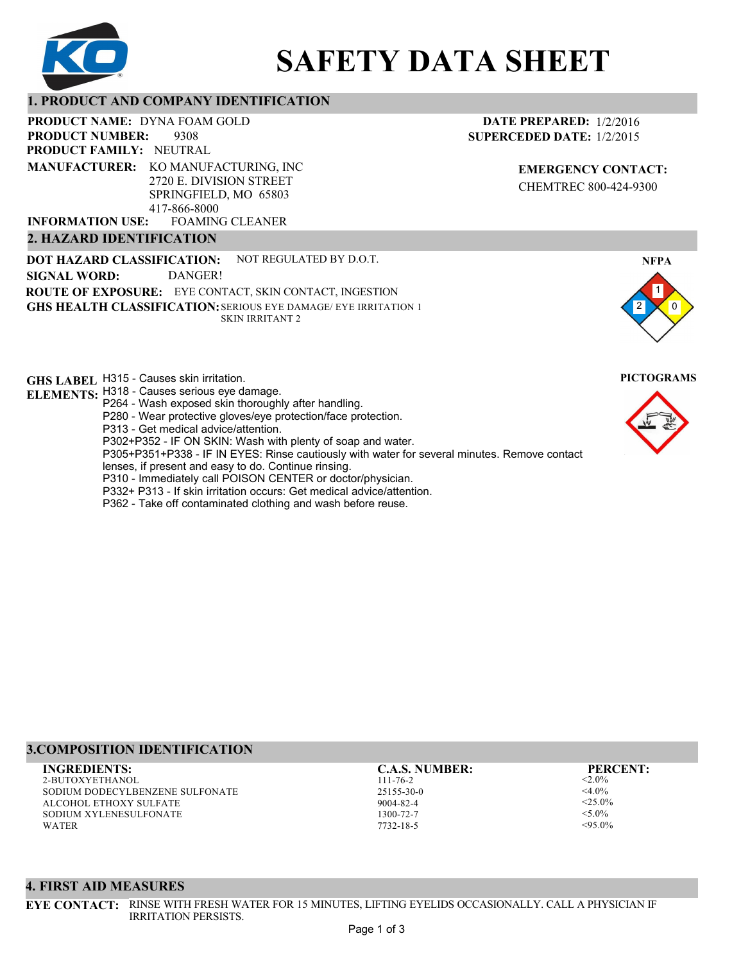

# **SAFETY DATA SHEET**

# **1. PRODUCT AND COMPANY IDENTIFICATION**

**PRODUCT NAME: DYNA FOAM GOLD** 

9308 **PRODUCT FAMILY: NEUTRAL PRODUCT NUMBER: MANUFACTURER:** KO MANUFACTURING, INC

2720 E. DIVISION STREET SPRINGFIELD, MO 65803 417-866-8000

FOAMING CLEANER **INFORMATION USE:**

# **2. HAZARD IDENTIFICATION**

**DOT HAZARD CLASSIFICATION: GHS HEALTH CLASSIFICATION:** SERIOUS EYE DAMAGE/ EYE IRRITATION 1 **ROUTE OF EXPOSURE:** EYE CONTACT, SKIN CONTACT, INGESTION NOT REGULATED BY D.O.T. SKIN IRRITANT 2 **SIGNAL WORD:** DANGER!

**GHS LABEL**  H315 - Causes skin irritation. **PICTOGRAMS**

- **ELEMENTS:** H318 Causes serious eye damage. P264 - Wash exposed skin thoroughly after handling.
	- P280 Wear protective gloves/eye protection/face protection.
	- P313 Get medical advice/attention.
	- P302+P352 IF ON SKIN: Wash with plenty of soap and water.

P305+P351+P338 - IF IN EYES: Rinse cautiously with water for several minutes. Remove contact

- lenses, if present and easy to do. Continue rinsing.
- P310 Immediately call POISON CENTER or doctor/physician.
- P332+ P313 If skin irritation occurs: Get medical advice/attention.
- P362 Take off contaminated clothing and wash before reuse.

# **DATE PREPARED:** 1/2/2016 **SUPERCEDED DATE:** 1/2/2015

**EMERGENCY CONTACT:** CHEMTREC 800-424-9300





# **3.COMPOSITION IDENTIFICATION**

2-BUTOXYETHANOL SODIUM DODECYLBENZENE SULFONATE ALCOHOL ETHOXY SULFATE SODIUM XYLENESULFONATE WATER **INGREDIENTS: C.A.S. NUMBER: PERCENT:**

111-76-2 25155-30-0 9004-82-4 1300-72-7 7732-18-5

 $< 2.0\%$  $<$ 4.0%  $<$ 25.0%  $<$ 5.0%  $< 95.0\%$ 

### **4. FIRST AID MEASURES**

**EYE CONTACT:** RINSE WITH FRESH WATER FOR 15 MINUTES, LIFTING EYELIDS OCCASIONALLY. CALL A PHYSICIAN IF IRRITATION PERSISTS.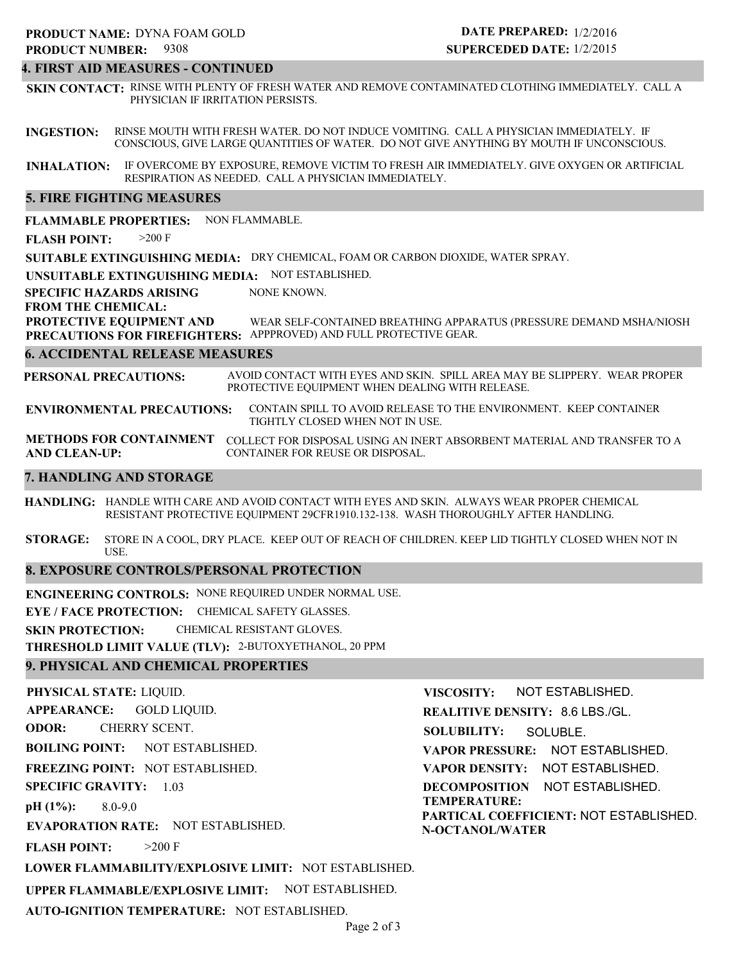#### **4. FIRST AID MEASURES - CONTINUED**

**SKIN CONTACT:** RINSE WITH PLENTY OF FRESH WATER AND REMOVE CONTAMINATED CLOTHING IMMEDIATELY. CALL A PHYSICIAN IF IRRITATION PERSISTS.

**INGESTION:** RINSE MOUTH WITH FRESH WATER. DO NOT INDUCE VOMITING. CALL A PHYSICIAN IMMEDIATELY. IF CONSCIOUS, GIVE LARGE QUANTITIES OF WATER. DO NOT GIVE ANYTHING BY MOUTH IF UNCONSCIOUS.

**INHALATION:** IF OVERCOME BY EXPOSURE, REMOVE VICTIM TO FRESH AIR IMMEDIATELY. GIVE OXYGEN OR ARTIFICIAL RESPIRATION AS NEEDED. CALL A PHYSICIAN IMMEDIATELY.

#### **5. FIRE FIGHTING MEASURES**

**FLAMMABLE PROPERTIES:** NON FLAMMABLE.

**FLASH POINT:** >200 F

**SUITABLE EXTINGUISHING MEDIA:** DRY CHEMICAL, FOAM OR CARBON DIOXIDE, WATER SPRAY.

**UNSUITABLE EXTINGUISHING MEDIA:** NOT ESTABLISHED.

**SPECIFIC HAZARDS ARISING** NONE KNOWN.

**FROM THE CHEMICAL:**

**PROTECTIVE EQUIPMENT AND PRECAUTIONS FOR FIREFIGHTERS:** APPPROVED) AND FULL PROTECTIVE GEAR. WEAR SELF-CONTAINED BREATHING APPARATUS (PRESSURE DEMAND MSHA/NIOSH

#### **6. ACCIDENTAL RELEASE MEASURES**

**PERSONAL PRECAUTIONS:** AVOID CONTACT WITH EYES AND SKIN. SPILL AREA MAY BE SLIPPERY. WEAR PROPER PROTECTIVE EQUIPMENT WHEN DEALING WITH RELEASE.

**ENVIRONMENTAL PRECAUTIONS:** CONTAIN SPILL TO AVOID RELEASE TO THE ENVIRONMENT. KEEP CONTAINER TIGHTLY CLOSED WHEN NOT IN USE.

**METHODS FOR CONTAINMENT** COLLECT FOR DISPOSAL USING AN INERT ABSORBENT MATERIAL AND TRANSFER TO A **AND CLEAN-UP:** CONTAINER FOR REUSE OR DISPOSAL.

#### **7. HANDLING AND STORAGE**

**HANDLING:** HANDLE WITH CARE AND AVOID CONTACT WITH EYES AND SKIN. ALWAYS WEAR PROPER CHEMICAL RESISTANT PROTECTIVE EQUIPMENT 29CFR1910.132-138. WASH THOROUGHLY AFTER HANDLING.

**STORAGE:** STORE IN A COOL, DRY PLACE. KEEP OUT OF REACH OF CHILDREN. KEEP LID TIGHTLY CLOSED WHEN NOT IN USE.

### **8. EXPOSURE CONTROLS/PERSONAL PROTECTION**

**ENGINEERING CONTROLS:** NONE REQUIRED UNDER NORMAL USE.

**EYE / FACE PROTECTION:** CHEMICAL SAFETY GLASSES.

**SKIN PROTECTION:** CHEMICAL RESISTANT GLOVES.

**THRESHOLD LIMIT VALUE (TLV):** 2-BUTOXYETHANOL, 20 PPM

### **9. PHYSICAL AND CHEMICAL PROPERTIES**

**PHYSICAL STATE:** LIQUID. **APPEARANCE: ODOR: BOILING POINT:** NOT ESTABLISHED. **FREEZING POINT:** NOT ESTABLISHED. **SPECIFIC GRAVITY:** 1.03 **pH (1%): EVAPORATION RATE:** NOT ESTABLISHED. **FLASH POINT: LOWER FLAMMABILITY/EXPLOSIVE LIMIT:** NOT ESTABLISHED. **UPPER FLAMMABLE/EXPLOSIVE LIMIT:** NOT ESTABLISHED. 8.0-9.0  $>200$  F GOLD LIQUID. CHERRY SCENT. **VISCOSITY: REALITIVE DENSITY:** 8.6 LBS./GL. **SOLUBILITY: VAPOR PRESSURE:** NOT ESTABLISHED. **VAPOR DENSITY:** NOT ESTABLISHED. **DECOMPOSITION** NOT ESTABLISHED. **TEMPERATURE: PARTICAL COEFFICIENT:** NOT ESTABLISHED. **N-OCTANOL/WATER** NOT ESTABLISHED. SOLUBLE.

**AUTO-IGNITION TEMPERATURE:** NOT ESTABLISHED.